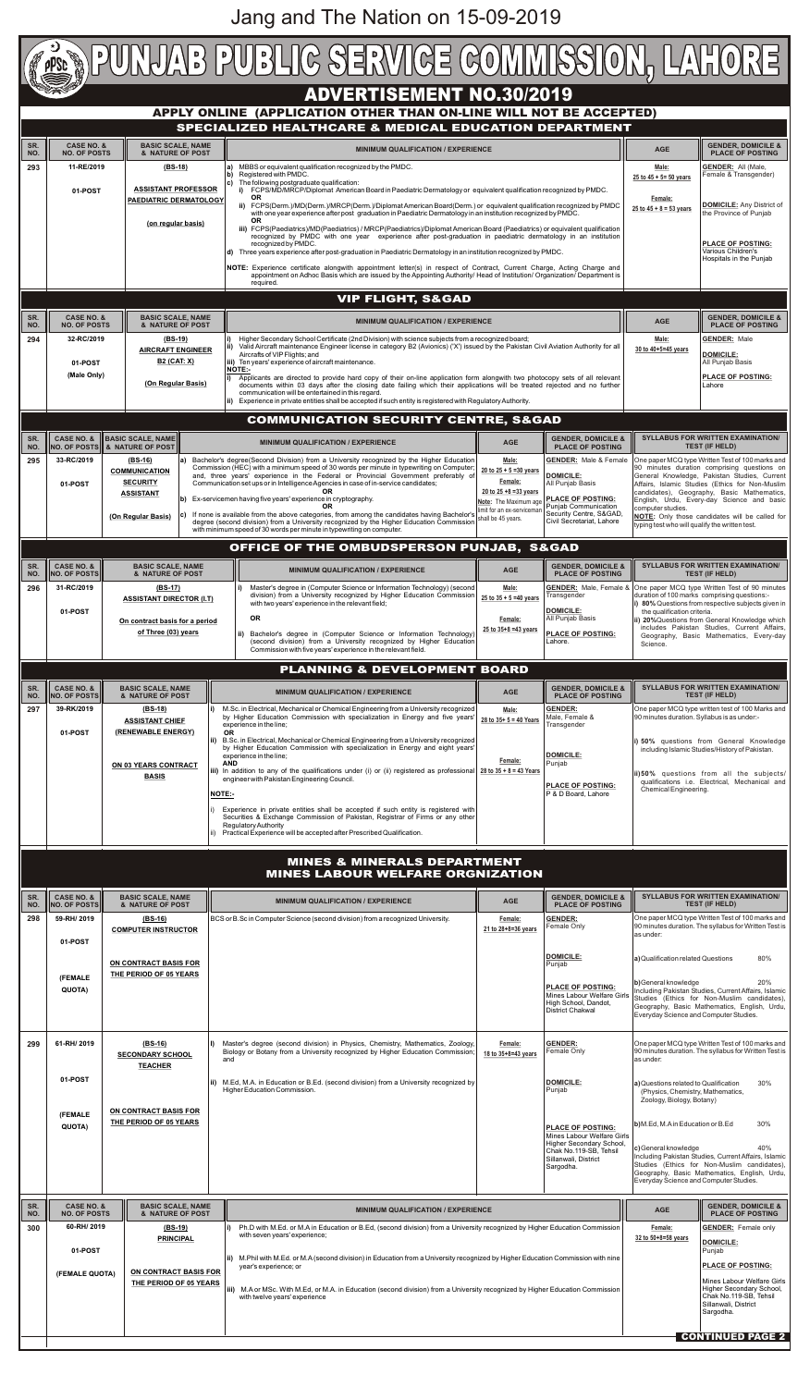| <b>DUNUAB PUBLIC SERVICE COMMISSION, LAH</b>                  |                                                              |                                                           |  |                                                                                                                                                                                                                                                                                   |                                                            |                                                          |                                                                     |                                                                                                                                                     |  |
|---------------------------------------------------------------|--------------------------------------------------------------|-----------------------------------------------------------|--|-----------------------------------------------------------------------------------------------------------------------------------------------------------------------------------------------------------------------------------------------------------------------------------|------------------------------------------------------------|----------------------------------------------------------|---------------------------------------------------------------------|-----------------------------------------------------------------------------------------------------------------------------------------------------|--|
|                                                               |                                                              |                                                           |  | <b>ADVERTISEMENT NO.30/2019</b>                                                                                                                                                                                                                                                   |                                                            |                                                          |                                                                     |                                                                                                                                                     |  |
|                                                               |                                                              |                                                           |  | APPLY ONLINE (APPLICATION OTHER THAN ON-LINE WILL NOT BE ACCEPTED)                                                                                                                                                                                                                |                                                            |                                                          |                                                                     |                                                                                                                                                     |  |
|                                                               |                                                              |                                                           |  | SPECIALIZED HEALTHCARE & MEDICAL EDUCATION DEPARTMENT                                                                                                                                                                                                                             |                                                            |                                                          |                                                                     |                                                                                                                                                     |  |
| SR.<br>NO.                                                    | <b>CASE NO. &amp;</b><br><b>NO. OF POSTS</b>                 | <b>BASIC SCALE, NAME</b><br>& NATURE OF POST              |  | <b>MINIMUM QUALIFICATION / EXPERIENCE</b>                                                                                                                                                                                                                                         |                                                            |                                                          | <b>AGE</b>                                                          | <b>GENDER, DOMICILE &amp;</b><br><b>PLACE OF POSTING</b>                                                                                            |  |
| 293                                                           | 11-RE/2019                                                   | $(BS-18)$                                                 |  | MBBS or equivalent qualification recognized by the PMDC.<br>la)<br>Registered with PMDC.<br>lb)                                                                                                                                                                                   |                                                            |                                                          | Male:                                                               | <b>GENDER: All (Male,</b><br>Female & Transgender)                                                                                                  |  |
|                                                               | 01-POST                                                      | <b>ASSISTANT PROFESSOR</b>                                |  | The following postgraduate qualification:<br>lc)<br>i) FCPS/MD/MRCP/Diplomat American Board in Paediatric Dermatology or equivalent qualification recognized by PMDC.<br><b>OR</b>                                                                                                |                                                            |                                                          | 25 to $45 + 5 = 50$ years<br>Female:<br>$25$ to $45 + 8 = 53$ vears |                                                                                                                                                     |  |
|                                                               |                                                              | <b>PAEDIATRIC DERMATOLOGY</b>                             |  | ii) FCPS(Derm.)/MD(Derm.)/MRCP(Derm.)/Diplomat American Board(Derm.) or equivalent qualification recognized by PMDC<br>with one year experience after post graduation in Paediatric Dermatology in an institution recognized by PMDC.                                             | <b>DOMICILE:</b> Any District of<br>the Province of Punjab |                                                          |                                                                     |                                                                                                                                                     |  |
|                                                               |                                                              | (on regular basis)                                        |  | <b>OR</b><br>iii) FCPS(Paediatrics)/MD(Paediatrics) / MRCP(Paediatrics)/Diplomat American Board (Paediatrics) or equivalent qualification<br>recognized by PMDC with one year experience after post-graduation in paediatric dermatology in an institution<br>recognized by PMDC. |                                                            | <b>PLACE OF POSTING:</b>                                 |                                                                     |                                                                                                                                                     |  |
|                                                               |                                                              |                                                           |  | Three years experience after post-graduation in Paediatric Dermatology in an institution recognized by PMDC.<br>ld).<br>NOTE: Experience certificate alongwith appointment letter(s) in respect of Contract, Current Charge, Acting Charge and                                    |                                                            |                                                          |                                                                     | Various Children's<br>Hospitals in the Punjab                                                                                                       |  |
|                                                               |                                                              |                                                           |  | appointment on Adhoc Basis which are issued by the Appointing Authority/ Head of Institution/ Organization/ Department is<br>required.                                                                                                                                            |                                                            |                                                          |                                                                     |                                                                                                                                                     |  |
|                                                               |                                                              |                                                           |  | <b>VIP FLIGHT, S&amp;GAD</b>                                                                                                                                                                                                                                                      |                                                            |                                                          |                                                                     |                                                                                                                                                     |  |
| SR.<br>NO.                                                    | <b>CASE NO. &amp;</b><br><b>NO. OF POSTS</b>                 | <b>BASIC SCALE, NAME</b><br>& NATURE OF POST              |  | <b>MINIMUM QUALIFICATION / EXPERIENCE</b>                                                                                                                                                                                                                                         |                                                            |                                                          | <b>AGE</b>                                                          | <b>GENDER, DOMICILE &amp;</b><br><b>PLACE OF POSTING</b>                                                                                            |  |
| 294                                                           | 32-RC/2019                                                   | $(BS-19)$                                                 |  | Higher Secondary School Certificate (2nd Division) with science subjects from a recognized board;<br>Valid Aircraft maintenance Engineer license in category B2 (Avionics) ('X') issued by the Pakistan Civil Aviation Authority for all<br>lii)                                  |                                                            |                                                          | Male:                                                               | <b>GENDER: Male</b>                                                                                                                                 |  |
|                                                               | 01-POST                                                      | <b>AIRCRAFT ENGINEER</b><br><b>B2 (CAT: X)</b>            |  | Aircrafts of VIP Flights; and<br>iii) Ten years' experience of aircraft maintenance.                                                                                                                                                                                              |                                                            | 30 to 40+5=45 years                                      | <b>DOMICILE:</b><br>All Punjab Basis                                |                                                                                                                                                     |  |
|                                                               | (Male Only)                                                  | (On Regular Basis)                                        |  | <b>INOTE:-</b><br>Applicants are directed to provide hard copy of their on-line application form alongwith two photocopy sets of all relevant<br>documents within 03 days after the closing date failing which their applications will be treated rejected and no further         |                                                            |                                                          |                                                                     | <b>PLACE OF POSTING:</b><br>Lahore                                                                                                                  |  |
|                                                               |                                                              |                                                           |  | communication will be entertained in this regard.<br>ii) Experience in private entities shall be accepted if such entity is registered with Regulatory Authority.                                                                                                                 |                                                            |                                                          |                                                                     |                                                                                                                                                     |  |
|                                                               |                                                              |                                                           |  | <b>COMMUNICATION SECURITY CENTRE, S&amp;GAD</b>                                                                                                                                                                                                                                   |                                                            |                                                          |                                                                     |                                                                                                                                                     |  |
| SR.<br>NO.                                                    | <b>CASE NO. &amp;</b>                                        | <b>BASIC SCALE, NAME</b><br>NO. OF POSTS & NATURE OF POST |  | <b>MINIMUM QUALIFICATION / EXPERIENCE</b>                                                                                                                                                                                                                                         | <b>AGE</b>                                                 | <b>GENDER, DOMICILE &amp;</b><br><b>PLACE OF POSTING</b> |                                                                     | <b>SYLLABUS FOR WRITTEN EXAMINATION/</b><br><b>TEST (IF HELD)</b>                                                                                   |  |
| 295                                                           | 33-RC/2019                                                   | $(BS-16)$<br><b>COMMUNICATION</b>                         |  | a) Bachelor's degree(Second Division) from a University recognized by the Higher Education<br>Commission (HEC) with a minimum speed of 30 words per minute in typewriting on Computer;                                                                                            | Male:<br>20 to $25 + 5 = 30$ years                         | <b>GENDER:</b> Male & Female                             |                                                                     | One paper MCQ type Written Test of 100 marks and<br>90 minutes duration comprising questions on                                                     |  |
|                                                               | 01-POST                                                      | <b>SECURITY</b>                                           |  | and, three years' experience in the Federal or Provincial Government preferably of<br>Communication set ups or in Intelligence Agencies in case of in-service candidates;                                                                                                         | Female:<br>20 to $25 + 8 = 33$ years                       | DOMICILE:<br>All Punjab Basis                            |                                                                     | General Knowledge, Pakistan Studies, Current<br>Affairs, Islamic Studies (Ethics for Non-Muslim<br>candidates), Geography, Basic Mathematics,       |  |
|                                                               |                                                              | <b>ASSISTANT</b>                                          |  | $ b $ Ex-servicemen having five years' experience in cryptography.                                                                                                                                                                                                                | Note: The Maximum age<br>limit for an ex-servicemar        | <b>PLACE OF POSTING:</b><br>Puniab Communication         | computer studies.                                                   | English, Urdu, Every-day Science and basic                                                                                                          |  |
|                                                               |                                                              | (On Regular Basis)                                        |  | $ c $ If none is available from the above categories, from among the candidates having Bachelor's<br>degree (second division) from a University recognized by the Higher Education Commission<br>with minimum speed of 30 words per minute in typewriting on computer.            | shall be 45 years.                                         | Security Centre, S&GAD,<br>Civil Secretariat, Lahore     | typing test who will qualify the written test.                      | <b>NOTE:</b> Only those candidates will be called for                                                                                               |  |
|                                                               |                                                              |                                                           |  | OFFICE OF THE OMBUDSPERSON PUNJAB, S&GAD                                                                                                                                                                                                                                          |                                                            |                                                          |                                                                     |                                                                                                                                                     |  |
| SR.                                                           | <b>CASE NO. &amp;</b>                                        | <b>BASIC SCALE, NAME</b>                                  |  |                                                                                                                                                                                                                                                                                   |                                                            | <b>GENDER, DOMICILE &amp;</b>                            |                                                                     | <b>SYLLABUS FOR WRITTEN EXAMINATION/</b>                                                                                                            |  |
| NO.                                                           | <b>NO. OF POSTS</b>                                          | & NATURE OF POST                                          |  | <b>MINIMUM QUALIFICATION / EXPERIENCE</b>                                                                                                                                                                                                                                         | <b>AGE</b>                                                 | <b>PLACE OF POSTING</b>                                  |                                                                     | <b>TEST (IF HELD)</b>                                                                                                                               |  |
| 296                                                           | 31-RC/2019                                                   | $(BS-17)$<br><b>ASSISTANT DIRECTOR (I.T)</b>              |  | Master's degree in (Computer Science or Information Technology) (second<br>division) from a University recognized by Higher Education Commission<br>with two years' experience in the relevant field;                                                                             | Male:<br>25 to $35 + 5 = 40$ years                         | <b>GENDER:</b> Male, Female &<br>Transgender             |                                                                     | One paper MCQ type Written Test of 90 minutes<br>duration of 100 marks comprising questions:-<br>i) 80% Questions from respective subjects given in |  |
|                                                               | 01-POST                                                      | On contract basis for a period                            |  | <b>OR</b>                                                                                                                                                                                                                                                                         | Female:                                                    | <b>DOMICILE:</b><br>All Punjab Basis                     | the qualification criteria.                                         | ii) 20%Questions from General Knowledge which                                                                                                       |  |
|                                                               |                                                              | of Three (03) years                                       |  | ii) Bachelor's degree in (Computer Science or Information Technology)<br>(second division) from a University recognized by Higher Education                                                                                                                                       | 25 to 35+8 =43 years                                       | <b>PLACE OF POSTING:</b><br>Lahore.                      | Science.                                                            | includes Pakistan Studies, Current Affairs,<br>Geography, Basic Mathematics, Every-day                                                              |  |
| Commission with five years' experience in the relevant field. |                                                              |                                                           |  |                                                                                                                                                                                                                                                                                   |                                                            |                                                          |                                                                     |                                                                                                                                                     |  |
|                                                               | <b>PLANNING &amp; DEVELOPMENT BOARD</b>                      |                                                           |  |                                                                                                                                                                                                                                                                                   |                                                            |                                                          |                                                                     |                                                                                                                                                     |  |
| SR.<br>NO.                                                    | <b>CASE NO. &amp;</b><br><b>NO. OF POSTS</b>                 | <b>BASIC SCALE, NAME</b><br>& NATURE OF POST              |  | <b>MINIMUM QUALIFICATION / EXPERIENCE</b>                                                                                                                                                                                                                                         | <b>AGE</b>                                                 | <b>GENDER, DOMICILE &amp;</b><br><b>PLACE OF POSTING</b> | <b>SYLLABUS FOR WRITTEN EXAMINATION/</b><br><b>TEST (IF HELD)</b>   |                                                                                                                                                     |  |
| 297                                                           | 39-RK/2019                                                   | $(BS-18)$<br><b>ASSISTANT CHIEF</b>                       |  | M.Sc. in Electrical, Mechanical or Chemical Engineering from a University recognized<br>by Higher Education Commission with specialization in Energy and five years'<br>experience in the line;                                                                                   | Male:<br>28 to $35+5=40$ Years                             | <b>GENDER:</b><br>Male, Female &<br>Transgender          | 90 minutes duration. Syllabus is as under:-                         | One paper MCQ type written test of 100 Marks and                                                                                                    |  |
|                                                               | (RENEWABLE ENERGY)<br>01-POST<br>ii)<br>ON 03 YEARS CONTRACT |                                                           |  | <b>OR</b><br>B.Sc. in Electrical, Mechanical or Chemical Engineering from a University recognized                                                                                                                                                                                 |                                                            |                                                          |                                                                     | i) 50% questions from General Knowledge                                                                                                             |  |
|                                                               |                                                              |                                                           |  | by Higher Education Commission with specialization in Energy and eight years'<br>experience in the line;<br><b>AND</b>                                                                                                                                                            | Female:                                                    | <b>DOMICILE:</b><br>Punjab                               |                                                                     | including Islamic Studies/History of Pakistan.                                                                                                      |  |

|            |                                                                                              | <b>ON 03 YEARS CONTRACT</b><br><b>BASIS</b>            | AND<br>iii) In addition to any of the qualifications under (i) or (ii) registered as professional<br>engineer with Pakistan Engineering Council.<br><b>NOTE:-</b><br>Experience in private entities shall be accepted if such entity is registered with<br>Securities & Exchange Commission of Pakistan, Registrar of Firms or any other<br><b>Regulatory Authority</b><br>Practical Experience will be accepted after Prescribed Qualification. | 28 to $35 + 8 = 43$ Years      | Punjab,<br><b>PLACE OF POSTING:</b><br>P & D Board, Lahore                                                                              | Chemical Engineering.                                                                                   | ii)50% questions from all the subjects/<br>qualifications i.e. Electrical, Mechanical and                                                                         |
|------------|----------------------------------------------------------------------------------------------|--------------------------------------------------------|--------------------------------------------------------------------------------------------------------------------------------------------------------------------------------------------------------------------------------------------------------------------------------------------------------------------------------------------------------------------------------------------------------------------------------------------------|--------------------------------|-----------------------------------------------------------------------------------------------------------------------------------------|---------------------------------------------------------------------------------------------------------|-------------------------------------------------------------------------------------------------------------------------------------------------------------------|
|            |                                                                                              |                                                        | <b>MINES &amp; MINERALS DEPARTMENT</b><br><b>MINES LABOUR WELFARE ORGNIZATION</b>                                                                                                                                                                                                                                                                                                                                                                |                                |                                                                                                                                         |                                                                                                         |                                                                                                                                                                   |
| SR.<br>NO. | <b>CASE NO. &amp;</b><br><b>NO. OF POSTS</b>                                                 | <b>BASIC SCALE, NAME</b><br>& NATURE OF POST           | <b>MINIMUM QUALIFICATION / EXPERIENCE</b>                                                                                                                                                                                                                                                                                                                                                                                                        | <b>AGE</b>                     | <b>GENDER, DOMICILE &amp;</b><br><b>PLACE OF POSTING</b>                                                                                |                                                                                                         | <b>SYLLABUS FOR WRITTEN EXAMINATION/</b><br><b>TEST (IF HELD)</b>                                                                                                 |
| 298        | 59-RH/2019<br>01-POST                                                                        | $(BS-16)$<br><b>COMPUTER INSTRUCTOR</b>                | BCS or B.Sc in Computer Science (second division) from a recognized University.                                                                                                                                                                                                                                                                                                                                                                  | Female:<br>21 to 28+8=36 years | <b>GENDER:</b><br>Female Only                                                                                                           | as under:                                                                                               | One paper MCQ type Written Test of 100 marks and<br>90 minutes duration. The syllabus for Written Test is                                                         |
|            | (FEMALE<br>QUOTA)                                                                            | ON CONTRACT BASIS FOR<br>THE PERIOD OF 05 YEARS        |                                                                                                                                                                                                                                                                                                                                                                                                                                                  |                                | <b>DOMICILE:</b><br>Punjab<br><b>PLACE OF POSTING:</b><br>Mines Labour Welfare Girls<br>High School, Dandot,<br><b>District Chakwal</b> | a) Qualification related Questions<br>b) General knowledge<br>Everyday Science and Computer Studies.    | 80%<br>20%<br>Including Pakistan Studies, Current Affairs, Islamic<br>Studies (Ethics for Non-Muslim candidates),<br>Geography, Basic Mathematics, English, Urdu, |
| 299        | 61-RH/ 2019                                                                                  | $(BS-16)$<br><b>SECONDARY SCHOOL</b><br><b>TEACHER</b> | I) Master's degree (second division) in Physics, Chemistry, Mathematics, Zoology,<br>Biology or Botany from a University recognized by Higher Education Commission;<br>and                                                                                                                                                                                                                                                                       | Female:<br>18 to 35+8=43 years | <b>GENDER:</b><br>Female Only                                                                                                           | as under:                                                                                               | One paper MCQ type Written Test of 100 marks and<br>90 minutes duration. The syllabus for Written Test is                                                         |
|            | 01-POST                                                                                      |                                                        | ii) M.Ed, M.A. in Education or B.Ed. (second division) from a University recognized by<br>Higher Education Commission.                                                                                                                                                                                                                                                                                                                           |                                | <b>DOMICILE:</b><br>Punjab                                                                                                              | a) Questions related to Qualification<br>(Physics, Chemistry, Mathematics,<br>Zoology, Biology, Botany) | 30%                                                                                                                                                               |
|            | (FEMALE<br>QUOTA)                                                                            | ON CONTRACT BASIS FOR<br>THE PERIOD OF 05 YEARS        |                                                                                                                                                                                                                                                                                                                                                                                                                                                  |                                | <b>PLACE OF POSTING:</b><br>Mines Labour Welfare Girls                                                                                  | b)M.Ed. M.Ain Education or B.Ed                                                                         | 30%                                                                                                                                                               |
|            |                                                                                              |                                                        |                                                                                                                                                                                                                                                                                                                                                                                                                                                  |                                | Higher Secondary School,<br>Chak No.119-SB, Tehsil<br>Sillanwali, District<br>Sargodha.                                                 | c) General knowledge<br>Everyday Science and Computer Studies.                                          | 40%<br>Including Pakistan Studies, Current Affairs, Islamic<br>Studies (Ethics for Non-Muslim candidates),<br>Geography, Basic Mathematics, English, Urdu,        |
| SR.<br>NO. | <b>BASIC SCALE, NAME</b><br><b>CASE NO. &amp;</b><br><b>NO. OF POSTS</b><br>& NATURE OF POST |                                                        | <b>MINIMUM QUALIFICATION / EXPERIENCE</b>                                                                                                                                                                                                                                                                                                                                                                                                        |                                |                                                                                                                                         | <b>AGE</b>                                                                                              | <b>GENDER, DOMICILE &amp;</b><br><b>PLACE OF POSTING</b>                                                                                                          |
| 300        | 60-RH/2019<br>(BS-19)<br><b>DDINCIDAL</b>                                                    |                                                        | Ph.D with M.Ed. or M.A in Education or B.Ed, (second division) from a University recognized by Higher Education Commission<br>with seven years' experience;                                                                                                                                                                                                                                                                                      |                                |                                                                                                                                         | Female:<br>$32$ to $50+8=58$ years                                                                      | <b>GENDER:</b> Female only                                                                                                                                        |

| 300 | 60-RH/2019     | (BS-19)<br><b>PRINCIPAL</b>                     | Ph.D with M.Ed. or M.A in Education or B.Ed, (second division) from a University recognized by Higher Education Commission<br>with seven years' experience;       | Female:<br>32 to 50+8=58 years | <b>GENDER:</b> Female only<br><b>DOMICILE:</b>                                              |
|-----|----------------|-------------------------------------------------|-------------------------------------------------------------------------------------------------------------------------------------------------------------------|--------------------------------|---------------------------------------------------------------------------------------------|
|     | 01-POST        |                                                 | (ii) M.Phil with M.Ed. or M.A (second division) in Education from a University recognized by Higher Education Commission with nine<br>year's experience; or       |                                | Punjab<br><b>IPLACE OF POSTING:</b>                                                         |
|     | (FEMALE QUOTA) | ON CONTRACT BASIS FOR<br>THE PERIOD OF 05 YEARS |                                                                                                                                                                   |                                | Mines Labour Welfare Girls                                                                  |
|     |                |                                                 | iii) M.A or MSc. With M.Ed, or M.A. in Education (second division) from a University recognized by Higher Education Commission  <br>with twelve vears' experience |                                | Higher Secondary School,<br>I Chak No.119-SB. Tehsil<br>l Sillanwali. District<br>Sargodha. |
|     |                |                                                 |                                                                                                                                                                   |                                | <b>CONTINUED PAGE 2</b>                                                                     |

Jang and The Nation on 15-09-2019